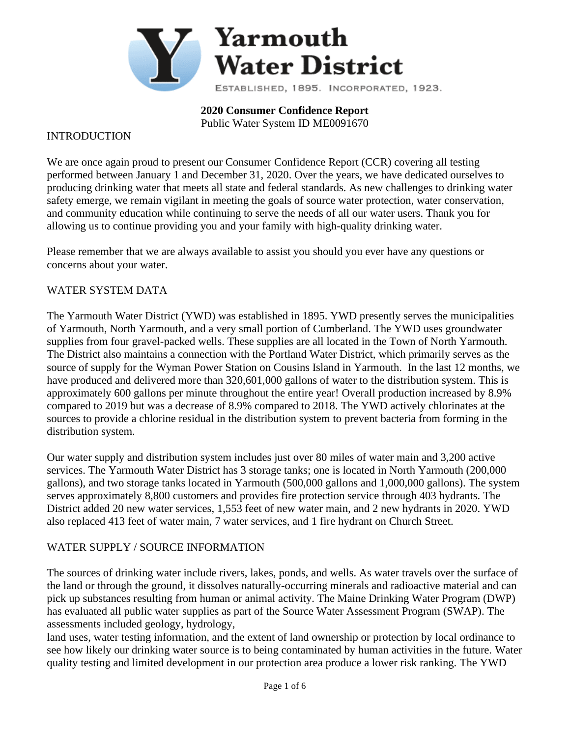

**2020 Consumer Confidence Report**

Public Water System ID ME0091670

#### INTRODUCTION

We are once again proud to present our Consumer Confidence Report (CCR) covering all testing performed between January 1 and December 31, 2020. Over the years, we have dedicated ourselves to producing drinking water that meets all state and federal standards. As new challenges to drinking water safety emerge, we remain vigilant in meeting the goals of source water protection, water conservation, and community education while continuing to serve the needs of all our water users. Thank you for allowing us to continue providing you and your family with high-quality drinking water.

Please remember that we are always available to assist you should you ever have any questions or concerns about your water.

#### WATER SYSTEM DATA

The Yarmouth Water District (YWD) was established in 1895. YWD presently serves the municipalities of Yarmouth, North Yarmouth, and a very small portion of Cumberland. The YWD uses groundwater supplies from four gravel-packed wells. These supplies are all located in the Town of North Yarmouth. The District also maintains a connection with the Portland Water District, which primarily serves as the source of supply for the Wyman Power Station on Cousins Island in Yarmouth. In the last 12 months, we have produced and delivered more than 320,601,000 gallons of water to the distribution system. This is approximately 600 gallons per minute throughout the entire year! Overall production increased by 8.9% compared to 2019 but was a decrease of 8.9% compared to 2018. The YWD actively chlorinates at the sources to provide a chlorine residual in the distribution system to prevent bacteria from forming in the distribution system.

Our water supply and distribution system includes just over 80 miles of water main and 3,200 active services. The Yarmouth Water District has 3 storage tanks; one is located in North Yarmouth (200,000 gallons), and two storage tanks located in Yarmouth (500,000 gallons and 1,000,000 gallons). The system serves approximately 8,800 customers and provides fire protection service through 403 hydrants. The District added 20 new water services, 1,553 feet of new water main, and 2 new hydrants in 2020. YWD also replaced 413 feet of water main, 7 water services, and 1 fire hydrant on Church Street.

### WATER SUPPLY / SOURCE INFORMATION

The sources of drinking water include rivers, lakes, ponds, and wells. As water travels over the surface of the land or through the ground, it dissolves naturally-occurring minerals and radioactive material and can pick up substances resulting from human or animal activity. The Maine Drinking Water Program (DWP) has evaluated all public water supplies as part of the Source Water Assessment Program (SWAP). The assessments included geology, hydrology,

land uses, water testing information, and the extent of land ownership or protection by local ordinance to see how likely our drinking water source is to being contaminated by human activities in the future. Water quality testing and limited development in our protection area produce a lower risk ranking. The YWD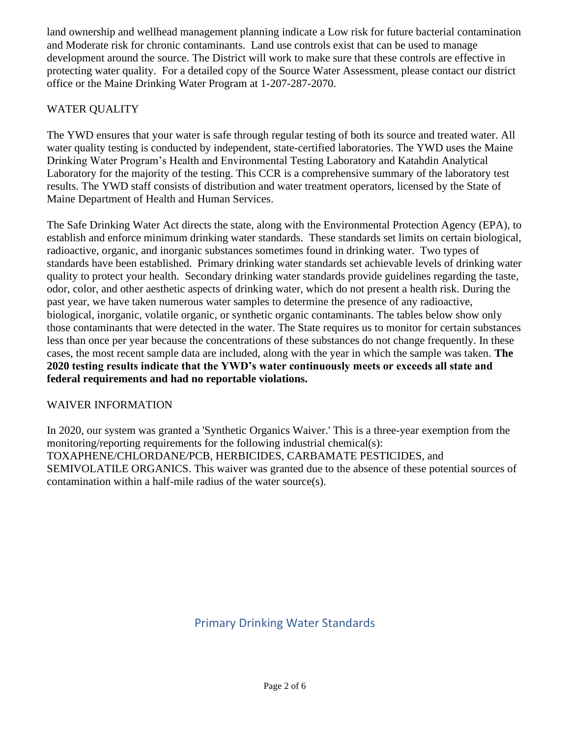land ownership and wellhead management planning indicate a Low risk for future bacterial contamination and Moderate risk for chronic contaminants. Land use controls exist that can be used to manage development around the source. The District will work to make sure that these controls are effective in protecting water quality. For a detailed copy of the Source Water Assessment, please contact our district office or the Maine Drinking Water Program at 1-207-287-2070.

# WATER QUALITY

The YWD ensures that your water is safe through regular testing of both its source and treated water. All water quality testing is conducted by independent, state-certified laboratories. The YWD uses the Maine Drinking Water Program's Health and Environmental Testing Laboratory and Katahdin Analytical Laboratory for the majority of the testing. This CCR is a comprehensive summary of the laboratory test results. The YWD staff consists of distribution and water treatment operators, licensed by the State of Maine Department of Health and Human Services.

The Safe Drinking Water Act directs the state, along with the Environmental Protection Agency (EPA), to establish and enforce minimum drinking water standards. These standards set limits on certain biological, radioactive, organic, and inorganic substances sometimes found in drinking water. Two types of standards have been established. Primary drinking water standards set achievable levels of drinking water quality to protect your health. Secondary drinking water standards provide guidelines regarding the taste, odor, color, and other aesthetic aspects of drinking water, which do not present a health risk. During the past year, we have taken numerous water samples to determine the presence of any radioactive, biological, inorganic, volatile organic, or synthetic organic contaminants. The tables below show only those contaminants that were detected in the water. The State requires us to monitor for certain substances less than once per year because the concentrations of these substances do not change frequently. In these cases, the most recent sample data are included, along with the year in which the sample was taken. **The 2020 testing results indicate that the YWD's water continuously meets or exceeds all state and federal requirements and had no reportable violations.**

## WAIVER INFORMATION

In 2020, our system was granted a 'Synthetic Organics Waiver.' This is a three-year exemption from the monitoring/reporting requirements for the following industrial chemical(s): TOXAPHENE/CHLORDANE/PCB, HERBICIDES, CARBAMATE PESTICIDES, and SEMIVOLATILE ORGANICS. This waiver was granted due to the absence of these potential sources of contamination within a half-mile radius of the water source(s).

# Primary Drinking Water Standards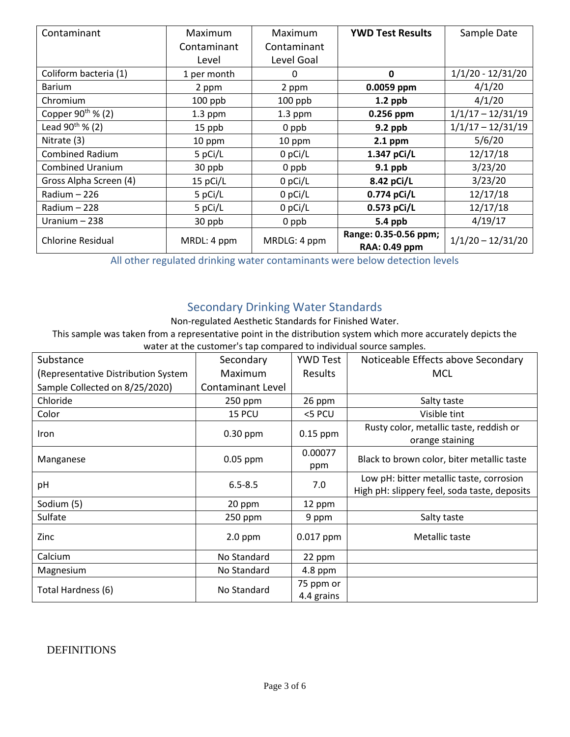| Contaminant              | Maximum     | Maximum      | <b>YWD Test Results</b> | Sample Date         |  |
|--------------------------|-------------|--------------|-------------------------|---------------------|--|
|                          | Contaminant | Contaminant  |                         |                     |  |
|                          | Level       | Level Goal   |                         |                     |  |
| Coliform bacteria (1)    | 1 per month | $\Omega$     | $\mathbf{0}$            | $1/1/20 - 12/31/20$ |  |
| <b>Barium</b>            | 2 ppm       | 2 ppm        | 0.0059 ppm              | 4/1/20              |  |
| Chromium                 | $100$ ppb   | $100$ ppb    | $1.2$ ppb               | 4/1/20              |  |
| Copper $90^{th}$ % (2)   | $1.3$ ppm   | $1.3$ ppm    | 0.256 ppm               | $1/1/17 - 12/31/19$ |  |
| Lead $90^{th}$ % (2)     | 15 ppb      | 0 ppb        | 9.2 ppb                 | $1/1/17 - 12/31/19$ |  |
| Nitrate (3)              | 10 ppm      | 10 ppm       | $2.1$ ppm               | 5/6/20              |  |
| <b>Combined Radium</b>   | 5 pCi/L     | 0 pCi/L      | 1.347 pCi/L             | 12/17/18            |  |
| <b>Combined Uranium</b>  | 30 ppb      | 0 ppb        | $9.1$ ppb               | 3/23/20             |  |
| Gross Alpha Screen (4)   | $15$ pCi/L  | $0$ pCi/L    | 8.42 pCi/L              | 3/23/20             |  |
| Radium - 226             | 5 pCi/L     | $0$ pCi/L    | 0.774 pCi/L             | 12/17/18            |  |
| Radium - 228             | 5 pCi/L     | 0 pCi/L      | 0.573 pCi/L             | 12/17/18            |  |
| Uranium - 238            | 30 ppb      | 0 ppb        | 5.4 ppb                 | 4/19/17             |  |
| <b>Chlorine Residual</b> | MRDL: 4 ppm | MRDLG: 4 ppm | Range: 0.35-0.56 ppm;   | $1/1/20 - 12/31/20$ |  |
|                          |             |              | <b>RAA: 0.49 ppm</b>    |                     |  |

All other regulated drinking water contaminants were below detection levels

# Secondary Drinking Water Standards

Non-regulated Aesthetic Standards for Finished Water.

This sample was taken from a representative point in the distribution system which more accurately depicts the water at the customer's tap compared to individual source samples.

| Substance                           | Secondary         | <b>YWD Test</b>         | Noticeable Effects above Secondary                                                       |
|-------------------------------------|-------------------|-------------------------|------------------------------------------------------------------------------------------|
| (Representative Distribution System | Maximum           | Results                 | MCL                                                                                      |
| Sample Collected on 8/25/2020)      | Contaminant Level |                         |                                                                                          |
| Chloride                            | 250 ppm           | 26 ppm                  | Salty taste                                                                              |
| Color                               | 15 PCU            | <5 PCU                  | Visible tint                                                                             |
| Iron                                | $0.30$ ppm        | $0.15$ ppm              | Rusty color, metallic taste, reddish or<br>orange staining                               |
| Manganese                           | $0.05$ ppm        | 0.00077<br>ppm          | Black to brown color, biter metallic taste                                               |
| pH                                  | $6.5 - 8.5$       | 7.0                     | Low pH: bitter metallic taste, corrosion<br>High pH: slippery feel, soda taste, deposits |
| Sodium (5)                          | 20 ppm            | 12 ppm                  |                                                                                          |
| Sulfate                             | 250 ppm           | 9 ppm                   | Salty taste                                                                              |
| Zinc                                | $2.0$ ppm         | 0.017 ppm               | Metallic taste                                                                           |
| Calcium                             | No Standard       | 22 ppm                  |                                                                                          |
| Magnesium                           | No Standard       | 4.8 ppm                 |                                                                                          |
| Total Hardness (6)                  | No Standard       | 75 ppm or<br>4.4 grains |                                                                                          |

### DEFINITIONS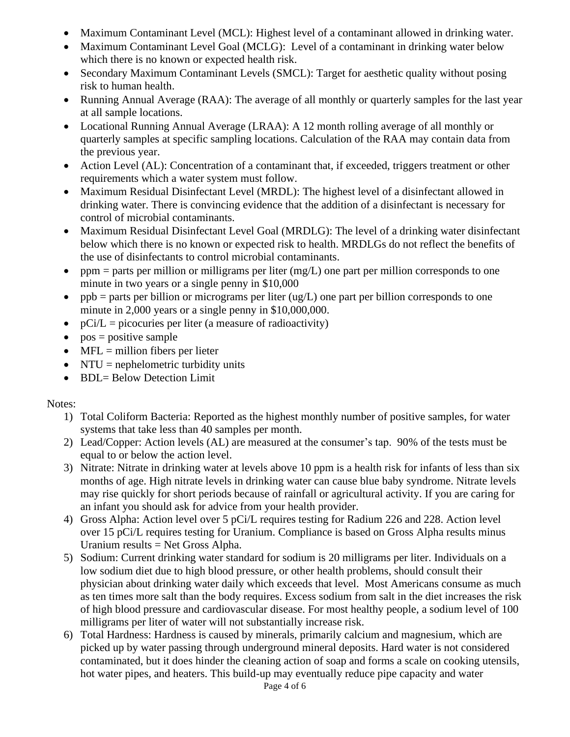- Maximum Contaminant Level (MCL): Highest level of a contaminant allowed in drinking water.
- Maximum Contaminant Level Goal (MCLG): Level of a contaminant in drinking water below which there is no known or expected health risk.
- Secondary Maximum Contaminant Levels (SMCL): Target for aesthetic quality without posing risk to human health.
- Running Annual Average (RAA): The average of all monthly or quarterly samples for the last year at all sample locations.
- Locational Running Annual Average (LRAA): A 12 month rolling average of all monthly or quarterly samples at specific sampling locations. Calculation of the RAA may contain data from the previous year.
- Action Level (AL): Concentration of a contaminant that, if exceeded, triggers treatment or other requirements which a water system must follow.
- Maximum Residual Disinfectant Level (MRDL): The highest level of a disinfectant allowed in drinking water. There is convincing evidence that the addition of a disinfectant is necessary for control of microbial contaminants.
- Maximum Residual Disinfectant Level Goal (MRDLG): The level of a drinking water disinfectant below which there is no known or expected risk to health. MRDLGs do not reflect the benefits of the use of disinfectants to control microbial contaminants.
- ppm = parts per million or milligrams per liter  $(mg/L)$  one part per million corresponds to one minute in two years or a single penny in \$10,000
- ppb = parts per billion or micrograms per liter  $\left(\frac{ug}{L}\right)$  one part per billion corresponds to one minute in 2,000 years or a single penny in \$10,000,000.
- $pCi/L = picocuries per liter (a measure of radioactivity)$
- $pos = positive sample$
- $MFL =$  million fibers per lieter
- NTU = nephelometric turbidity units
- BDL= Below Detection Limit

## Notes:

- 1) Total Coliform Bacteria: Reported as the highest monthly number of positive samples, for water systems that take less than 40 samples per month.
- 2) Lead/Copper: Action levels (AL) are measured at the consumer's tap. 90% of the tests must be equal to or below the action level.
- 3) Nitrate: Nitrate in drinking water at levels above 10 ppm is a health risk for infants of less than six months of age. High nitrate levels in drinking water can cause blue baby syndrome. Nitrate levels may rise quickly for short periods because of rainfall or agricultural activity. If you are caring for an infant you should ask for advice from your health provider.
- 4) Gross Alpha: Action level over 5 pCi/L requires testing for Radium 226 and 228. Action level over 15 pCi/L requires testing for Uranium. Compliance is based on Gross Alpha results minus Uranium results = Net Gross Alpha.
- 5) Sodium: Current drinking water standard for sodium is 20 milligrams per liter. Individuals on a low sodium diet due to high blood pressure, or other health problems, should consult their physician about drinking water daily which exceeds that level. Most Americans consume as much as ten times more salt than the body requires. Excess sodium from salt in the diet increases the risk of high blood pressure and cardiovascular disease. For most healthy people, a sodium level of 100 milligrams per liter of water will not substantially increase risk.
- 6) Total Hardness: Hardness is caused by minerals, primarily calcium and magnesium, which are picked up by water passing through underground mineral deposits. Hard water is not considered contaminated, but it does hinder the cleaning action of soap and forms a scale on cooking utensils, hot water pipes, and heaters. This build-up may eventually reduce pipe capacity and water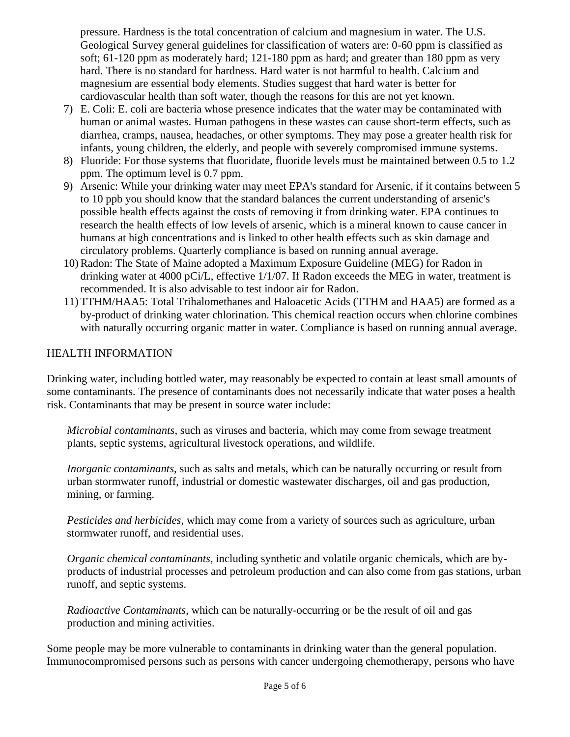pressure. Hardness is the total concentration of calcium and magnesium in water. The U.S. Geological Survey general guidelines for classification of waters are: 0-60 ppm is classified as soft; 61-120 ppm as moderately hard; 121-180 ppm as hard; and greater than 180 ppm as very hard. There is no standard for hardness. Hard water is not harmful to health. Calcium and magnesium are essential body elements. Studies suggest that hard water is better for cardiovascular health than soft water, though the reasons for this are not yet known.

- 7) E. Coli: E. coli are bacteria whose presence indicates that the water may be contaminated with human or animal wastes. Human pathogens in these wastes can cause short-term effects, such as diarrhea, cramps, nausea, headaches, or other symptoms. They may pose a greater health risk for infants, young children, the elderly, and people with severely compromised immune systems.
- 8) Fluoride: For those systems that fluoridate, fluoride levels must be maintained between 0.5 to 1.2 ppm. The optimum level is 0.7 ppm.
- 9) Arsenic: While your drinking water may meet EPA's standard for Arsenic, if it contains between 5 to 10 ppb you should know that the standard balances the current understanding of arsenic's possible health effects against the costs of removing it from drinking water. EPA continues to research the health effects of low levels of arsenic, which is a mineral known to cause cancer in humans at high concentrations and is linked to other health effects such as skin damage and circulatory problems. Quarterly compliance is based on running annual average.
- 10) Radon: The State of Maine adopted a Maximum Exposure Guideline (MEG) for Radon in drinking water at 4000 pCi/L, effective 1/1/07. If Radon exceeds the MEG in water, treatment is recommended. It is also advisable to test indoor air for Radon.
- 11) TTHM/HAA5: Total Trihalomethanes and Haloacetic Acids (TTHM and HAA5) are formed as a by-product of drinking water chlorination. This chemical reaction occurs when chlorine combines with naturally occurring organic matter in water. Compliance is based on running annual average.

### HEALTH INFORMATION

Drinking water, including bottled water, may reasonably be expected to contain at least small amounts of some contaminants. The presence of contaminants does not necessarily indicate that water poses a health risk. Contaminants that may be present in source water include:

*Microbial contaminants*, such as viruses and bacteria, which may come from sewage treatment plants, septic systems, agricultural livestock operations, and wildlife.

*Inorganic contaminants*, such as salts and metals, which can be naturally occurring or result from urban stormwater runoff, industrial or domestic wastewater discharges, oil and gas production, mining, or farming.

*Pesticides and herbicides*, which may come from a variety of sources such as agriculture, urban stormwater runoff, and residential uses.

*Organic chemical contaminants*, including synthetic and volatile organic chemicals, which are byproducts of industrial processes and petroleum production and can also come from gas stations, urban runoff, and septic systems.

*Radioactive Contaminants*, which can be naturally-occurring or be the result of oil and gas production and mining activities.

Some people may be more vulnerable to contaminants in drinking water than the general population. Immunocompromised persons such as persons with cancer undergoing chemotherapy, persons who have